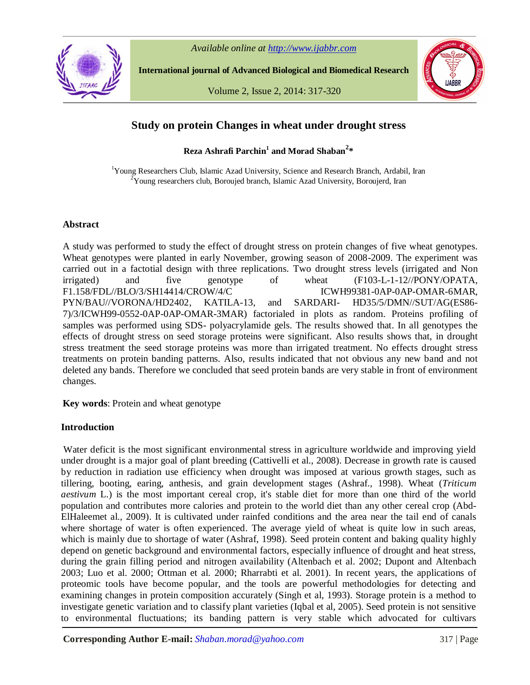

*Available online at http://www.ijabbr.com*

**International journal of Advanced Biological and Biomedical Research**

Volume 2, Issue 2, 2014: 317-320



# **Study on protein Changes in wheat under drought stress**

**Reza Ashrafi Parchin<sup>1</sup> and Morad Shaban<sup>2</sup> \***

<sup>1</sup>Young Researchers Club, Islamic Azad University, Science and Research Branch, Ardabil, Iran  $2$ Young researchers club, Boroujed branch, Islamic Azad University, Boroujerd, Iran

# **Abstract**

A study was performed to study the effect of drought stress on protein changes of five wheat genotypes. Wheat genotypes were planted in early November, growing season of 2008-2009. The experiment was carried out in a factotial design with three replications. Two drought stress levels (irrigated and Non irrigated) and five genotype of wheat (F103-L-1-12//PONY/OPATA, F1.158/FDL//BLO/3/SH14414/CROW/4/C ICWH99381-0AP-0AP-OMAR-6MAR, PYN/BAU//VORONA/HD2402, KATILA-13, and SARDARI- HD35/5/DMN//SUT/AG(ES86- 7)/3/ICWH99-0552-0AP-0AP-OMAR-3MAR) factorialed in plots as random. Proteins profiling of samples was performed using SDS- polyacrylamide gels. The results showed that. In all genotypes the effects of drought stress on seed storage proteins were significant. Also results shows that, in drought stress treatment the seed storage proteins was more than irrigated treatment. No effects drought stress treatments on protein banding patterns. Also, results indicated that not obvious any new band and not deleted any bands. Therefore we concluded that seed protein bands are very stable in front of environment changes.

**Key words**: Protein and wheat genotype

# **Introduction**

Water deficit is the most significant environmental stress in agriculture worldwide and improving yield under drought is a major goal of plant breeding (Cattivelli et al., 2008). Decrease in growth rate is caused by reduction in radiation use efficiency when drought was imposed at various growth stages, such as tillering, booting, earing, anthesis, and grain development stages (Ashraf., 1998). Wheat (*Triticum aestivum* L.) is the most important cereal crop, it's stable diet for more than one third of the world population and contributes more calories and protein to the world diet than any other cereal crop (Abd-ElHaleemet al., 2009). It is cultivated under rainfed conditions and the area near the tail end of canals where shortage of water is often experienced. The average yield of wheat is quite low in such areas, which is mainly due to shortage of water (Ashraf, 1998). Seed protein content and baking quality highly depend on genetic background and environmental factors, especially influence of drought and heat stress, during the grain filling period and nitrogen availability (Altenbach et al. 2002; Dupont and Altenbach 2003; Luo et al. 2000; Ottman et al. 2000; Rharrabti et al. 2001). In recent years, the applications of proteomic tools have become popular, and the tools are powerful methodologies for detecting and examining changes in protein composition accurately (Singh et al, 1993). Storage protein is a method to investigate genetic variation and to classify plant varieties (Iqbal et al, 2005). Seed protein is not sensitive to environmental fluctuations; its banding pattern is very stable which advocated for cultivars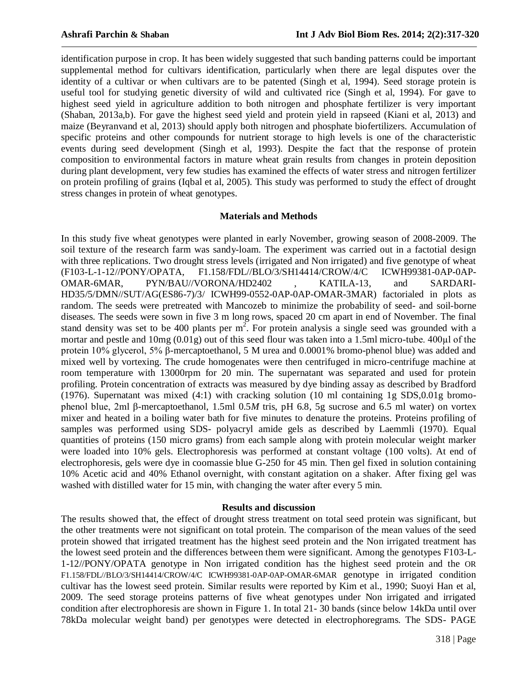identification purpose in crop. It has been widely suggested that such banding patterns could be important supplemental method for cultivars identification, particularly when there are legal disputes over the identity of a cultivar or when cultivars are to be patented (Singh et al, 1994). Seed storage protein is useful tool for studying genetic diversity of wild and cultivated rice (Singh et al, 1994). For gave to highest seed yield in agriculture addition to both nitrogen and phosphate fertilizer is very important (Shaban, 2013a,b). For gave the highest seed yield and protein yield in rapseed (Kiani et al, 2013) and maize (Beyranvand et al, 2013) should apply both nitrogen and phosphate biofertilizers. Accumulation of specific proteins and other compounds for nutrient storage to high levels is one of the characteristic events during seed development (Singh et al, 1993). Despite the fact that the response of protein composition to environmental factors in mature wheat grain results from changes in protein deposition during plant development, very few studies has examined the effects of water stress and nitrogen fertilizer on protein profiling of grains (Iqbal et al, 2005). This study was performed to study the effect of drought stress changes in protein of wheat genotypes.

### **Materials and Methods**

In this study five wheat genotypes were planted in early November, growing season of 2008-2009. The soil texture of the research farm was sandy-loam. The experiment was carried out in a factotial design with three replications. Two drought stress levels (irrigated and Non irrigated) and five genotype of wheat (F103-L-1-12//PONY/OPATA, F1.158/FDL//BLO/3/SH14414/CROW/4/C ICWH99381-0AP-0AP-OMAR-6MAR, PYN/BAU//VORONA/HD2402 , KATILA-13, and SARDARI-HD35/5/DMN//SUT/AG(ES86-7)/3/ ICWH99-0552-0AP-0AP-OMAR-3MAR) factorialed in plots as random. The seeds were pretreated with Mancozeb to minimize the probability of seed- and soil-borne diseases. The seeds were sown in five 3 m long rows, spaced 20 cm apart in end of November. The final stand density was set to be 400 plants per  $m^2$ . For protein analysis a single seed was grounded with a mortar and pestle and 10mg (0.01g) out of this seed flour was taken into a 1.5ml micro-tube. 400µl of the protein 10% glycerol, 5% β-mercaptoethanol, 5 M urea and 0.0001% bromo-phenol blue) was added and mixed well by vortexing. The crude homogenates were then centrifuged in micro-centrifuge machine at room temperature with 13000rpm for 20 min. The supernatant was separated and used for protein profiling. Protein concentration of extracts was measured by dye binding assay as described by Bradford (1976). Supernatant was mixed (4:1) with cracking solution (10 ml containing 1g SDS,0.01g bromophenol blue, 2ml β-mercaptoethanol, 1.5ml 0.5*M* tris, pH 6.8, 5g sucrose and 6.5 ml water) on vortex mixer and heated in a boiling water bath for five minutes to denature the proteins. Proteins profiling of samples was performed using SDS- polyacryl amide gels as described by Laemmli (1970). Equal quantities of proteins (150 micro grams) from each sample along with protein molecular weight marker were loaded into 10% gels. Electrophoresis was performed at constant voltage (100 volts). At end of electrophoresis, gels were dye in coomassie blue G-250 for 45 min. Then gel fixed in solution containing 10% Acetic acid and 40% Ethanol overnight, with constant agitation on a shaker. After fixing gel was washed with distilled water for 15 min, with changing the water after every 5 min.

#### **Results and discussion**

The results showed that, the effect of drought stress treatment on total seed protein was significant, but the other treatments were not significant on total protein. The comparison of the mean values of the seed protein showed that irrigated treatment has the highest seed protein and the Non irrigated treatment has the lowest seed protein and the differences between them were significant. Among the genotypes F103-L-1-12//PONY/OPATA genotype in Non irrigated condition has the highest seed protein and the OR F1.158/FDL//BLO/3/SH14414/CROW/4/C ICWH99381-0AP-0AP-OMAR-6MAR genotype in irrigated condition cultivar has the lowest seed protein. Similar results were reported by Kim et al., 1990; Suoyi Han et al, 2009. The seed storage proteins patterns of five wheat genotypes under Non irrigated and irrigated condition after electrophoresis are shown in Figure 1. In total 21- 30 bands (since below 14kDa until over 78kDa molecular weight band) per genotypes were detected in electrophoregrams. The SDS- PAGE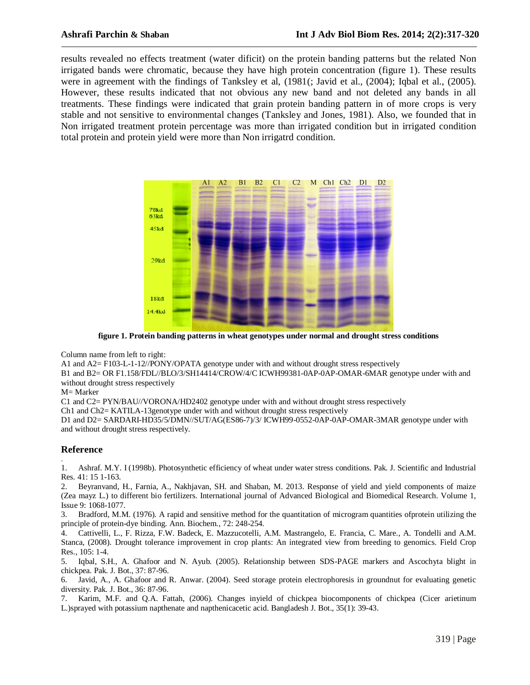results revealed no effects treatment (water dificit) on the protein banding patterns but the related Non irrigated bands were chromatic, because they have high protein concentration (figure 1). These results were in agreement with the findings of Tanksley et al, (1981); Javid et al., (2004); Iqbal et al., (2005). However, these results indicated that not obvious any new band and not deleted any bands in all treatments. These findings were indicated that grain protein banding pattern in of more crops is very stable and not sensitive to environmental changes (Tanksley and Jones, 1981). Also, we founded that in Non irrigated treatment protein percentage was more than irrigated condition but in irrigated condition total protein and protein yield were more than Non irrigatrd condition.



**figure 1. Protein banding patterns in wheat genotypes under normal and drought stress conditions**

Column name from left to right:

A1 and A2= F103-L-1-12//PONY/OPATA genotype under with and without drought stress respectively

B1 and B2= OR F1.158/FDL//BLO/3/SH14414/CROW/4/C ICWH99381-0AP-0AP-OMAR-6MAR genotype under with and without drought stress respectively

#### M= Marker

C1 and C2= PYN/BAU//VORONA/HD2402 genotype under with and without drought stress respectively

Ch1 and Ch2= KATILA-13genotype under with and without drought stress respectively

D1 and D2= SARDARI-HD35/5/DMN//SUT/AG(ES86-7)/3/ ICWH99-0552-0AP-0AP-OMAR-3MAR genotype under with and without drought stress respectively.

# **Reference**

. 1. Ashraf. M.Y. I (1998b). Photosynthetic efficiency of wheat under water stress conditions. Pak. J. Scientific and Industrial Res. 41: 15 1-163.

2. Beyranvand, H., Farnia, A., Nakhjavan, SH. and Shaban, M. 2013. Response of yield and yield components of maize (Zea mayz L.) to different bio fertilizers. International journal of Advanced Biological and Biomedical Research. Volume 1, Issue 9: 1068-1077.

3. Bradford, M.M. (1976). A rapid and sensitive method for the quantitation of microgram quantities ofprotein utilizing the principle of protein-dye binding. Ann. Biochem., 72: 248-254.

4. Cattivelli, L., F. Rizza, F.W. Badeck, E. Mazzucotelli, A.M. Mastrangelo, E. Francia, C. Mare., A. Tondelli and A.M. Stanca, (2008). Drought tolerance improvement in crop plants: An integrated view from breeding to genomics. Field Crop Res., 105: 1-4.

5. Iqbal, S.H., A. Ghafoor and N. Ayub. (2005). Relationship between SDS-PAGE markers and Ascochyta blight in chickpea. Pak. J. Bot., 37: 87-96.

6. Javid, A., A. Ghafoor and R. Anwar. (2004). Seed storage protein electrophoresis in groundnut for evaluating genetic diversity. Pak. J. Bot., 36: 87-96.

7. Karim, M.F. and Q.A. Fattah, (2006). Changes inyield of chickpea biocomponents of chickpea (Cicer arietinum L.)sprayed with potassium napthenate and napthenicacetic acid. Bangladesh J. Bot., 35(1): 39-43.